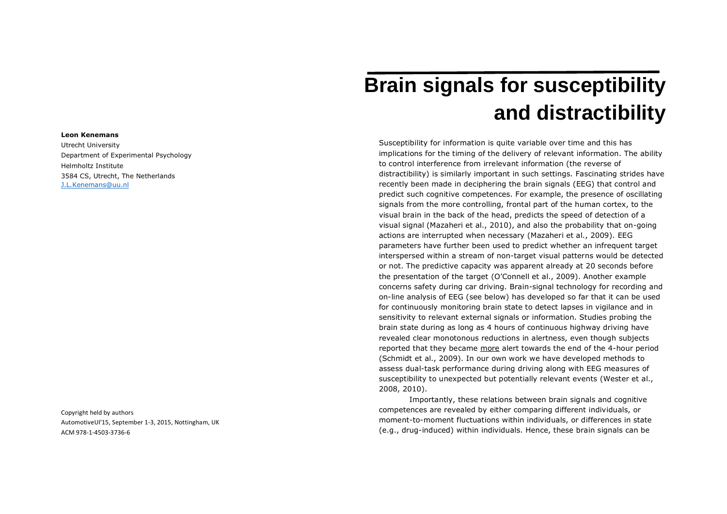## **Leon Kenemans**

Utrecht University Department of Experimental Psychology Helmholtz Institute 3584 CS, Utrecht, The Netherlands [J.L.Kenemans@uu.nl](mailto:J.L.Kenemans@uu.nl)

Copyright held by authors AutomotiveUI'15, September 1-3, 2015, Nottingham, UK ACM 978-1-4503-3736-6

## **Brain signals for susceptibility and distractibility**

Susceptibility for information is quite variable over time and this has implications for the timing of the delivery of relevant information. The ability to control interference from irrelevant information (the reverse of distractibility) is similarly important in such settings. Fascinating strides have recently been made in deciphering the brain signals (EEG) that control and predict such cognitive competences. For example, the presence of oscillating signals from the more controlling, frontal part of the human cortex, to the visual brain in the back of the head, predicts the speed of detection of a visual signal (Mazaheri et al., 2010), and also the probability that on-going actions are interrupted when necessary (Mazaheri et al., 2009). EEG parameters have further been used to predict whether an infrequent target interspersed within a stream of non-target visual patterns would be detected or not. The predictive capacity was apparent already at 20 seconds before the presentation of the target (O'Connell et al., 2009). Another example concerns safety during car driving. Brain-signal technology for recording and on-line analysis of EEG (see below) has developed so far that it can be used for continuously monitoring brain state to detect lapses in vigilance and in sensitivity to relevant external signals or information. Studies probing the brain state during as long as 4 hours of continuous highway driving have revealed clear monotonous reductions in alertness, even though subjects reported that they became more alert towards the end of the 4-hour period (Schmidt et al., 2009). In our own work we have developed methods to assess dual-task performance during driving along with EEG measures of susceptibility to unexpected but potentially relevant events (Wester et al., 2008, 2010).

Importantly, these relations between brain signals and cognitive competences are revealed by either comparing different individuals, or moment-to-moment fluctuations within individuals, or differences in state (e.g., drug-induced) within individuals. Hence, these brain signals can be